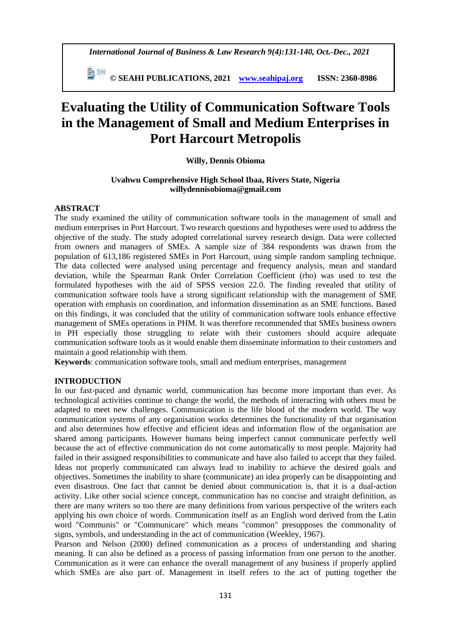*International Journal of Business & Law Research 9(4):131-140, Oct.-Dec., 2021*

 **© SEAHI PUBLICATIONS, 2021 [www.seahipaj.org](http://www.seahipaj.org/) ISSN: 2360-8986**

# **Evaluating the Utility of Communication Software Tools in the Management of Small and Medium Enterprises in Port Harcourt Metropolis**

# **Willy, Dennis Obioma**

## **Uvahwu Comprehensive High School Ibaa, Rivers State, Nigeria willydennisobioma@gmail.com**

# **ABSTRACT**

The study examined the utility of communication software tools in the management of small and medium enterprises in Port Harcourt. Two research questions and hypotheses were used to address the objective of the study. The study adopted correlational survey research design. Data were collected from owners and managers of SMEs. A sample size of 384 respondents was drawn from the population of 613,186 registered SMEs in Port Harcourt, using simple random sampling technique. The data collected were analysed using percentage and frequency analysis, mean and standard deviation, while the Spearman Rank Order Correlation Coefficient (rho) was used to test the formulated hypotheses with the aid of SPSS version 22.0. The finding revealed that utility of communication software tools have a strong significant relationship with the management of SME operation with emphasis on coordination, and information dissemination as an SME functions. Based on this findings, it was concluded that the utility of communication software tools enhance effective management of SMEs operations in PHM. It was therefore recommended that SMEs business owners in PH especially those struggling to relate with their customers should acquire adequate communication software tools as it would enable them disseminate information to their customers and maintain a good relationship with them.

**Keywords**: communication software tools, small and medium enterprises, management

## **INTRODUCTION**

In our fast-paced and dynamic world, communication has become more important than ever. As technological activities continue to change the world, the methods of interacting with others must be adapted to meet new challenges. Communication is the life blood of the modern world. The way communication systems of any organisation works determines the functionality of that organisation and also determines how effective and efficient ideas and information flow of the organisation are shared among participants. However humans being imperfect cannot communicate perfectly well because the act of effective communication do not come automatically to most people. Majority had failed in their assigned responsibilities to communicate and have also failed to accept that they failed. Ideas not properly communicated can always lead to inability to achieve the desired goals and objectives. Sometimes the inability to share (communicate) an idea properly can be disappointing and even disastrous. One fact that cannot be denied about communication is, that it is a dual-action activity. Like other social science concept, communication has no concise and straight definition, as there are many writers so too there are many definitions from various perspective of the writers each applying his own choice of words. Communication itself as an English word derived from the Latin word "Communis" or "Communicare" which means "common" presupposes the commonality of signs, symbols, and understanding in the act of communication (Weekley, 1967).

Pearson and Nelson (2000) defined communication as a process of understanding and sharing meaning. It can also be defined as a process of passing information from one person to the another. Communication as it were can enhance the overall management of any business if properly applied which SMEs are also part of. Management in itself refers to the act of putting together the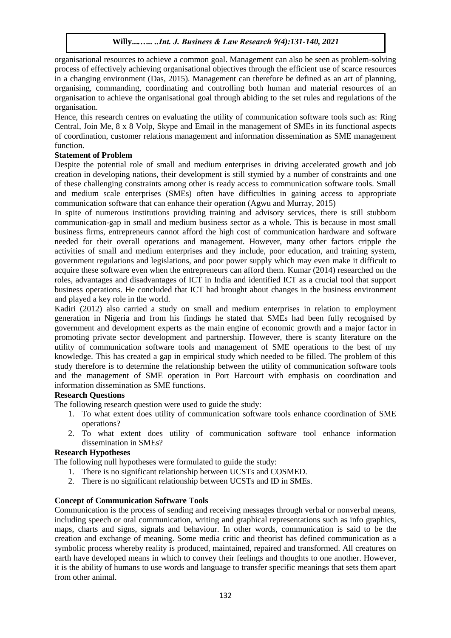organisational resources to achieve a common goal. Management can also be seen as problem-solving process of effectively achieving organisational objectives through the efficient use of scarce resources in a changing environment (Das, 2015). Management can therefore be defined as an art of planning, organising, commanding, coordinating and controlling both human and material resources of an organisation to achieve the organisational goal through abiding to the set rules and regulations of the organisation.

Hence, this research centres on evaluating the utility of communication software tools such as: Ring Central, Join Me, 8 x 8 Volp, Skype and Email in the management of SMEs in its functional aspects of coordination, customer relations management and information dissemination as SME management function.

# **Statement of Problem**

Despite the potential role of small and medium enterprises in driving accelerated growth and job creation in developing nations, their development is still stymied by a number of constraints and one of these challenging constraints among other is ready access to communication software tools. Small and medium scale enterprises (SMEs) often have difficulties in gaining access to appropriate communication software that can enhance their operation (Agwu and Murray, 2015)

In spite of numerous institutions providing training and advisory services, there is still stubborn communication-gap in small and medium business sector as a whole. This is because in most small business firms, entrepreneurs cannot afford the high cost of communication hardware and software needed for their overall operations and management. However, many other factors cripple the activities of small and medium enterprises and they include, poor education, and training system, government regulations and legislations, and poor power supply which may even make it difficult to acquire these software even when the entrepreneurs can afford them. Kumar (2014) researched on the roles, advantages and disadvantages of ICT in India and identified ICT as a crucial tool that support business operations. He concluded that ICT had brought about changes in the business environment and played a key role in the world.

Kadiri (2012) also carried a study on small and medium enterprises in relation to employment generation in Nigeria and from his findings he stated that SMEs had been fully recognised by government and development experts as the main engine of economic growth and a major factor in promoting private sector development and partnership. However, there is scanty literature on the utility of communication software tools and management of SME operations to the best of my knowledge. This has created a gap in empirical study which needed to be filled. The problem of this study therefore is to determine the relationship between the utility of communication software tools and the management of SME operation in Port Harcourt with emphasis on coordination and information dissemination as SME functions.

## **Research Questions**

The following research question were used to guide the study:

- 1. To what extent does utility of communication software tools enhance coordination of SME operations?
- 2. To what extent does utility of communication software tool enhance information dissemination in SMEs?

# **Research Hypotheses**

The following null hypotheses were formulated to guide the study:

- 1. There is no significant relationship between UCSTs and COSMED.
- 2. There is no significant relationship between UCSTs and ID in SMEs.

## **Concept of Communication Software Tools**

Communication is the process of sending and receiving messages through verbal or nonverbal means, including speech or oral communication, writing and graphical representations such as info graphics, maps, charts and signs, signals and behaviour. In other words, communication is said to be the creation and exchange of meaning. Some media critic and theorist has defined communication as a symbolic process whereby reality is produced, maintained, repaired and transformed. All creatures on earth have developed means in which to convey their feelings and thoughts to one another. However, it is the ability of humans to use words and language to transfer specific meanings that sets them apart from other animal.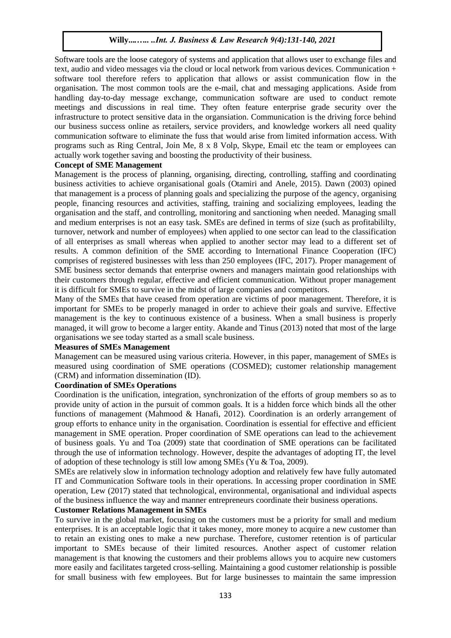Software tools are the loose category of systems and application that allows user to exchange files and text, audio and video messages via the cloud or local network from various devices. Communication + software tool therefore refers to application that allows or assist communication flow in the organisation. The most common tools are the e-mail, chat and messaging applications. Aside from handling day-to-day message exchange, communication software are used to conduct remote meetings and discussions in real time. They often feature enterprise grade security over the infrastructure to protect sensitive data in the organsiation. Communication is the driving force behind our business success online as retailers, service providers, and knowledge workers all need quality communication software to eliminate the fuss that would arise from limited information access. With programs such as Ring Central, Join Me, 8 x 8 Volp, Skype, Email etc the team or employees can actually work together saving and boosting the productivity of their business.

## **Concept of SME Management**

Management is the process of planning, organising, directing, controlling, staffing and coordinating business activities to achieve organisational goals (Otamiri and Anele, 2015). Dawn (2003) opined that management is a process of planning goals and specializing the purpose of the agency, organising people, financing resources and activities, staffing, training and socializing employees, leading the organisation and the staff, and controlling, monitoring and sanctioning when needed. Managing small and medium enterprises is not an easy task. SMEs are defined in terms of size (such as profitabililty, turnover, network and number of employees) when applied to one sector can lead to the classification of all enterprises as small whereas when applied to another sector may lead to a different set of results. A common definition of the SME according to International Finance Cooperation (IFC) comprises of registered businesses with less than 250 employees (IFC, 2017). Proper management of SME business sector demands that enterprise owners and managers maintain good relationships with their customers through regular, effective and efficient communication. Without proper management it is difficult for SMEs to survive in the midst of large companies and competitors.

Many of the SMEs that have ceased from operation are victims of poor management. Therefore, it is important for SMEs to be properly managed in order to achieve their goals and survive. Effective management is the key to continuous existence of a business. When a small business is properly managed, it will grow to become a larger entity. Akande and Tinus (2013) noted that most of the large organisations we see today started as a small scale business.

#### **Measures of SMEs Management**

Management can be measured using various criteria. However, in this paper, management of SMEs is measured using coordination of SME operations (COSMED); customer relationship management (CRM) and information dissemination (ID).

#### **Coordination of SMEs Operations**

Coordination is the unification, integration, synchronization of the efforts of group members so as to provide unity of action in the pursuit of common goals. It is a hidden force which binds all the other functions of management (Mahmood & Hanafi, 2012). Coordination is an orderly arrangement of group efforts to enhance unity in the organisation. Coordination is essential for effective and efficient management in SME operation. Proper coordination of SME operations can lead to the achievement of business goals. Yu and Toa (2009) state that coordination of SME operations can be facilitated through the use of information technology. However, despite the advantages of adopting IT, the level of adoption of these technology is still low among SMEs (Yu & Toa, 2009).

SMEs are relatively slow in information technology adoption and relatively few have fully automated IT and Communication Software tools in their operations. In accessing proper coordination in SME operation, Lew (2017) stated that technological, environmental, organisational and individual aspects of the business influence the way and manner entrepreneurs coordinate their business operations.

## **Customer Relations Management in SMEs**

To survive in the global market, focusing on the customers must be a priority for small and medium enterprises. It is an acceptable logic that it takes money, more money to acquire a new customer than to retain an existing ones to make a new purchase. Therefore, customer retention is of particular important to SMEs because of their limited resources. Another aspect of customer relation management is that knowing the customers and their problems allows you to acquire new customers more easily and facilitates targeted cross-selling. Maintaining a good customer relationship is possible for small business with few employees. But for large businesses to maintain the same impression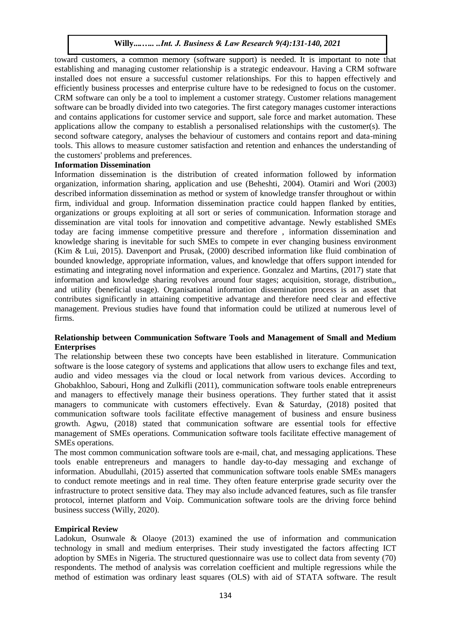toward customers, a common memory (software support) is needed. It is important to note that establishing and managing customer relationship is a strategic endeavour. Having a CRM software installed does not ensure a successful customer relationships. For this to happen effectively and efficiently business processes and enterprise culture have to be redesigned to focus on the customer. CRM software can only be a tool to implement a customer strategy. Customer relations management software can be broadly divided into two categories. The first category manages customer interactions and contains applications for customer service and support, sale force and market automation. These applications allow the company to establish a personalised relationships with the customer(s). The second software category, analyses the behaviour of customers and contains report and data-mining tools. This allows to measure customer satisfaction and retention and enhances the understanding of the customers' problems and preferences.

#### **Information Dissemination**

Information dissemination is the distribution of created information followed by information organization, information sharing, application and use (Beheshti, 2004). Otamiri and Wori (2003) described information dissemination as method or system of knowledge transfer throughout or within firm, individual and group. Information dissemination practice could happen flanked by entities, organizations or groups exploiting at all sort or series of communication. Information storage and dissemination are vital tools for innovation and competitive advantage. Newly established SMEs today are facing immense competitive pressure and therefore , information dissemination and knowledge sharing is inevitable for such SMEs to compete in ever changing business environment (Kim & Lui, 2015). Davenport and Prusak, (2000) described information like fluid combination of bounded knowledge, appropriate information, values, and knowledge that offers support intended for estimating and integrating novel information and experience. Gonzalez and Martins, (2017) state that information and knowledge sharing revolves around four stages; acquisition, storage, distribution,, and utility (beneficial usage). Organisational information dissemination process is an asset that contributes significantly in attaining competitive advantage and therefore need clear and effective management. Previous studies have found that information could be utilized at numerous level of firms.

#### **Relationship between Communication Software Tools and Management of Small and Medium Enterprises**

The relationship between these two concepts have been established in literature. Communication software is the loose category of systems and applications that allow users to exchange files and text, audio and video messages via the cloud or local network from various devices. According to Ghobakhloo, Sabouri, Hong and Zulkifli (2011), communication software tools enable entrepreneurs and managers to effectively manage their business operations. They further stated that it assist managers to communicate with customers effectively. Evan & Saturday, (2018) posited that communication software tools facilitate effective management of business and ensure business growth. Agwu, (2018) stated that communication software are essential tools for effective management of SMEs operations. Communication software tools facilitate effective management of SMEs operations.

The most common communication software tools are e-mail, chat, and messaging applications. These tools enable entrepreneurs and managers to handle day-to-day messaging and exchange of information. Abudullahi, (2015) asserted that communication software tools enable SMEs managers to conduct remote meetings and in real time. They often feature enterprise grade security over the infrastructure to protect sensitive data. They may also include advanced features, such as file transfer protocol, internet platform and Voip. Communication software tools are the driving force behind business success (Willy, 2020).

#### **Empirical Review**

Ladokun, Osunwale & Olaoye (2013) examined the use of information and communication technology in small and medium enterprises. Their study investigated the factors affecting ICT adoption by SMEs in Nigeria. The structured questionnaire was use to collect data from seventy (70) respondents. The method of analysis was correlation coefficient and multiple regressions while the method of estimation was ordinary least squares (OLS) with aid of STATA software. The result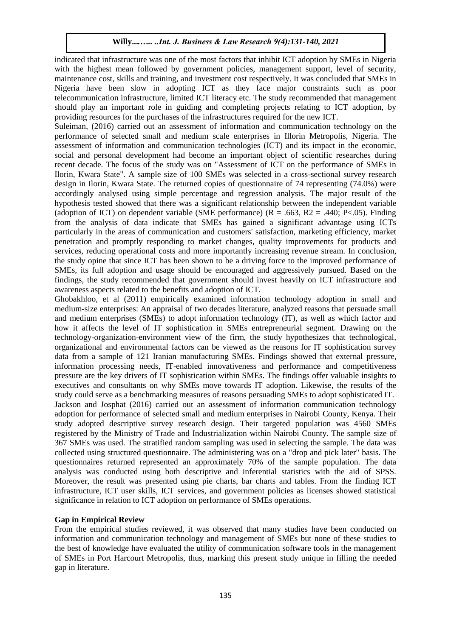indicated that infrastructure was one of the most factors that inhibit ICT adoption by SMEs in Nigeria with the highest mean followed by government policies, management support, level of security, maintenance cost, skills and training, and investment cost respectively. It was concluded that SMEs in Nigeria have been slow in adopting ICT as they face major constraints such as poor telecommunication infrastructure, limited ICT literacy etc. The study recommended that management should play an important role in guiding and completing projects relating to ICT adoption, by providing resources for the purchases of the infrastructures required for the new ICT.

Suleiman, (2016) carried out an assessment of information and communication technology on the performance of selected small and medium scale enterprises in Illorin Metropolis, Nigeria. The assessment of information and communication technologies (ICT) and its impact in the economic, social and personal development had become an important object of scientific researches during recent decade. The focus of the study was on "Assessment of ICT on the performance of SMEs in Ilorin, Kwara State". A sample size of 100 SMEs was selected in a cross-sectional survey research design in Ilorin, Kwara State. The returned copies of questionnaire of 74 representing (74.0%) were accordingly analysed using simple percentage and regression analysis. The major result of the hypothesis tested showed that there was a significant relationship between the independent variable (adoption of ICT) on dependent variable (SME performance)  $(R = .663, R2 = .440; P < .05)$ . Finding from the analysis of data indicate that SMEs has gained a significant advantage using ICTs particularly in the areas of communication and customers' satisfaction, marketing efficiency, market penetration and promptly responding to market changes, quality improvements for products and services, reducing operational costs and more importantly increasing revenue stream. In conclusion, the study opine that since ICT has been shown to be a driving force to the improved performance of SMEs, its full adoption and usage should be encouraged and aggressively pursued. Based on the findings, the study recommended that government should invest heavily on ICT infrastructure and awareness aspects related to the benefits and adoption of ICT.

Ghobakhloo, et al (2011) empirically examined information technology adoption in small and medium-size enterprises: An appraisal of two decades literature, analyzed reasons that persuade small and medium enterprises (SMEs) to adopt information technology (IT), as well as which factor and how it affects the level of IT sophistication in SMEs entrepreneurial segment. Drawing on the technology-organization-environment view of the firm, the study hypothesizes that technological, organizational and environmental factors can be viewed as the reasons for IT sophistication survey data from a sample of 121 Iranian manufacturing SMEs. Findings showed that external pressure, information processing needs, IT-enabled innovativeness and performance and competitiveness pressure are the key drivers of IT sophistication within SMEs. The findings offer valuable insights to executives and consultants on why SMEs move towards IT adoption. Likewise, the results of the study could serve as a benchmarking measures of reasons persuading SMEs to adopt sophisticated IT. Jackson and Josphat (2016) carried out an assessment of information communication technology adoption for performance of selected small and medium enterprises in Nairobi County, Kenya. Their study adopted descriptive survey research design. Their targeted population was 4560 SMEs registered by the Ministry of Trade and Industrialization within Nairobi County. The sample size of 367 SMEs was used. The stratified random sampling was used in selecting the sample. The data was collected using structured questionnaire. The administering was on a "drop and pick later" basis. The questionnaires returned represented an approximately 70% of the sample population. The data analysis was conducted using both descriptive and inferential statistics with the aid of SPSS. Moreover, the result was presented using pie charts, bar charts and tables. From the finding ICT infrastructure, ICT user skills, ICT services, and government policies as licenses showed statistical significance in relation to ICT adoption on performance of SMEs operations.

## **Gap in Empirical Review**

From the empirical studies reviewed, it was observed that many studies have been conducted on information and communication technology and management of SMEs but none of these studies to the best of knowledge have evaluated the utility of communication software tools in the management of SMEs in Port Harcourt Metropolis, thus, marking this present study unique in filling the needed gap in literature.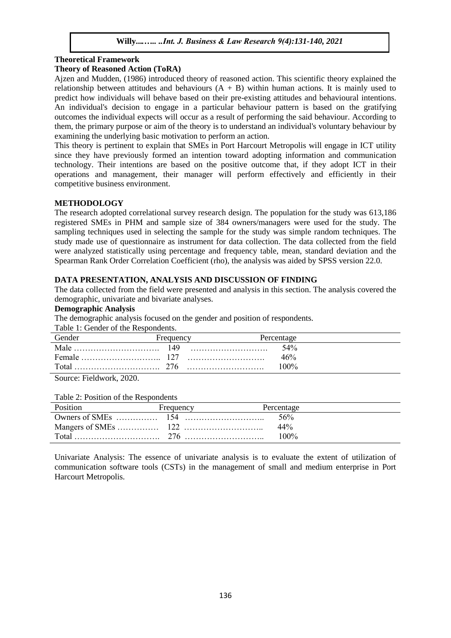# **Theoretical Framework**

# **Theory of Reasoned Action (ToRA)**

Ajzen and Mudden, (1986) introduced theory of reasoned action. This scientific theory explained the relationship between attitudes and behaviours  $(A + B)$  within human actions. It is mainly used to predict how individuals will behave based on their pre-existing attitudes and behavioural intentions. An individual's decision to engage in a particular behaviour pattern is based on the gratifying outcomes the individual expects will occur as a result of performing the said behaviour. According to them, the primary purpose or aim of the theory is to understand an individual's voluntary behaviour by examining the underlying basic motivation to perform an action.

This theory is pertinent to explain that SMEs in Port Harcourt Metropolis will engage in ICT utility since they have previously formed an intention toward adopting information and communication technology. Their intentions are based on the positive outcome that, if they adopt ICT in their operations and management, their manager will perform effectively and efficiently in their competitive business environment.

# **METHODOLOGY**

The research adopted correlational survey research design. The population for the study was 613,186 registered SMEs in PHM and sample size of 384 owners/managers were used for the study. The sampling techniques used in selecting the sample for the study was simple random techniques. The study made use of questionnaire as instrument for data collection. The data collected from the field were analyzed statistically using percentage and frequency table, mean, standard deviation and the Spearman Rank Order Correlation Coefficient (rho), the analysis was aided by SPSS version 22.0.

# **DATA PRESENTATION, ANALYSIS AND DISCUSSION OF FINDING**

The data collected from the field were presented and analysis in this section. The analysis covered the demographic, univariate and bivariate analyses.

## **Demographic Analysis**

The demographic analysis focused on the gender and position of respondents.

Table 1: Gender of the Respondents.

| Gender | Frequency        | Percentage |  |
|--------|------------------|------------|--|
|        | $\therefore$ 149 | 54%        |  |
|        |                  | 46%        |  |
| Total  |                  | $100\%$    |  |
|        |                  |            |  |

Source: Fieldwork, 2020.

#### Table 2: Position of the Respondents

| Position | Frequency | Percentage |  |
|----------|-----------|------------|--|
|          |           | .56%       |  |
|          |           | $44\%$     |  |
|          |           | $100\%$    |  |

Univariate Analysis: The essence of univariate analysis is to evaluate the extent of utilization of communication software tools (CSTs) in the management of small and medium enterprise in Port Harcourt Metropolis.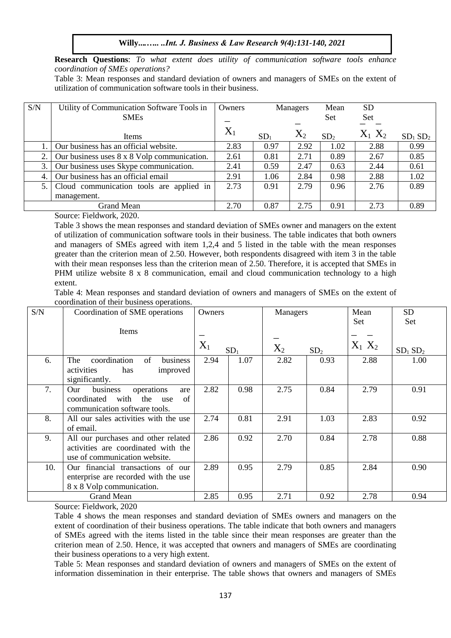**Research Questions**: *To what extent does utility of communication software tools enhance coordination of SMEs operations?*

Table 3: Mean responses and standard deviation of owners and managers of SMEs on the extent of utilization of communication software tools in their business.

| S/N               | Utility of Communication Software Tools in  | Owners | Managers        |           | Mean            | <b>SD</b>   |                                 |
|-------------------|---------------------------------------------|--------|-----------------|-----------|-----------------|-------------|---------------------------------|
|                   | <b>SMEs</b>                                 |        |                 |           | <b>Set</b>      | <b>Set</b>  |                                 |
|                   | Items                                       | $X_1$  | SD <sub>1</sub> | $\rm X_2$ | SD <sub>2</sub> | $X_1$ $X_2$ | SD <sub>1</sub> SD <sub>2</sub> |
|                   | Our business has an official website.       | 2.83   | 0.97            | 2.92      | 1.02            | 2.88        | 0.99                            |
|                   | Our business uses 8 x 8 Volp communication. | 2.61   | 0.81            | 2.71      | 0.89            | 2.67        | 0.85                            |
| 3.1               | Our business uses Skype communication.      | 2.41   | 0.59            | 2.47      | 0.63            | 2.44        | 0.61                            |
| 4.                | Our business has an official email          | 2.91   | 1.06            | 2.84      | 0.98            | 2.88        | 1.02                            |
| 5.1               | Cloud communication tools are applied in    | 2.73   | 0.91            | 2.79      | 0.96            | 2.76        | 0.89                            |
|                   | management.                                 |        |                 |           |                 |             |                                 |
| <b>Grand Mean</b> |                                             | 2.70   | 0.87            | 2.75      | 0.91            | 2.73        | 0.89                            |

Source: Fieldwork, 2020.

Table 3 shows the mean responses and standard deviation of SMEs owner and managers on the extent of utilization of communication software tools in their business. The table indicates that both owners and managers of SMEs agreed with item 1,2,4 and 5 listed in the table with the mean responses greater than the criterion mean of 2.50. However, both respondents disagreed with item 3 in the table with their mean responses less than the criterion mean of 2.50. Therefore, it is accepted that SMEs in PHM utilize website 8 x 8 communication, email and cloud communication technology to a high extent.

Table 4: Mean responses and standard deviation of owners and managers of SMEs on the extent of coordination of their business operations.

| S/N    | Coordination of SME operations                                                                                   | Owners |                 |       | Managers        |             | <b>SD</b>                       |
|--------|------------------------------------------------------------------------------------------------------------------|--------|-----------------|-------|-----------------|-------------|---------------------------------|
|        | Items                                                                                                            |        |                 |       |                 | Set         | Set                             |
|        |                                                                                                                  | $X_1$  | SD <sub>1</sub> | $X_2$ | SD <sub>2</sub> | $X_1$ $X_2$ | SD <sub>1</sub> SD <sub>2</sub> |
| 6.     | coordination<br>of<br>business<br>The<br>has<br>activities<br>improved<br>significantly.                         | 2.94   | 1.07            | 2.82  | 0.93            | 2.88        | 1.00                            |
| 7.     | business<br>operations<br>Our<br>are<br>coordinated<br>with<br>the<br>of<br>use<br>communication software tools. | 2.82   | 0.98            | 2.75  | 0.84            | 2.79        | 0.91                            |
| 8.     | All our sales activities with the use<br>of email.                                                               | 2.74   | 0.81            | 2.91  | 1.03            | 2.83        | 0.92                            |
| 9.     | All our purchases and other related<br>activities are coordinated with the<br>use of communication website.      | 2.86   | 0.92            | 2.70  | 0.84            | 2.78        | 0.88                            |
| 10.    | Our financial transactions of our<br>enterprise are recorded with the use<br>8 x 8 Volp communication.           | 2.89   | 0.95            | 2.79  | 0.85            | 2.84        | 0.90                            |
| $\sim$ | <b>Grand Mean</b><br>$-11111$                                                                                    | 2.85   | 0.95            | 2.71  | 0.92            | 2.78        | 0.94                            |

Source: Fieldwork, 2020

Table 4 shows the mean responses and standard deviation of SMEs owners and managers on the extent of coordination of their business operations. The table indicate that both owners and managers of SMEs agreed with the items listed in the table since their mean responses are greater than the criterion mean of 2.50. Hence, it was accepted that owners and managers of SMEs are coordinating their business operations to a very high extent.

Table 5: Mean responses and standard deviation of owners and managers of SMEs on the extent of information dissemination in their enterprise. The table shows that owners and managers of SMEs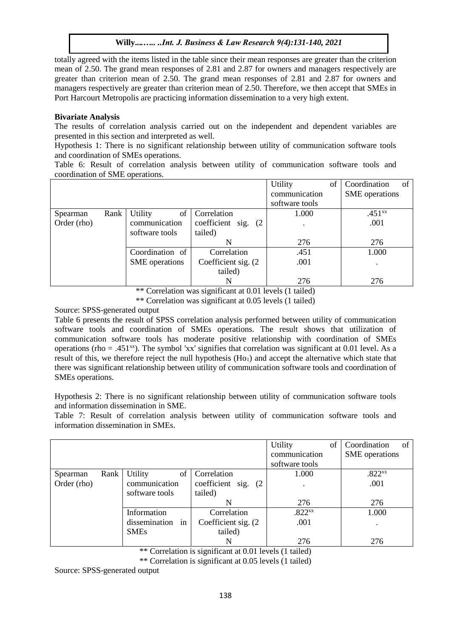totally agreed with the items listed in the table since their mean responses are greater than the criterion mean of 2.50. The grand mean responses of 2.81 and 2.87 for owners and managers respectively are greater than criterion mean of 2.50. The grand mean responses of 2.81 and 2.87 for owners and managers respectively are greater than criterion mean of 2.50. Therefore, we then accept that SMEs in Port Harcourt Metropolis are practicing information dissemination to a very high extent.

# **Bivariate Analysis**

The results of correlation analysis carried out on the independent and dependent variables are presented in this section and interpreted as well.

Hypothesis 1: There is no significant relationship between utility of communication software tools and coordination of SMEs operations.

Table 6: Result of correlation analysis between utility of communication software tools and coordination of SME operations.

|             |      |                      |                      | Utility        | of | Coordination<br>of    |
|-------------|------|----------------------|----------------------|----------------|----|-----------------------|
|             |      |                      |                      | communication  |    | <b>SME</b> operations |
|             |      |                      |                      | software tools |    |                       |
| Spearman    | Rank | <b>Utility</b><br>of | Correlation          | 1.000          |    | $.451^{xx}$           |
| Order (rho) |      | communication        | coefficient sig. (2) |                |    | .001                  |
|             |      | software tools       | tailed)              |                |    |                       |
|             |      |                      | N                    | 276            |    | 276                   |
|             |      | Coordination of      | Correlation          | .451           |    | 1.000                 |
|             |      | SME operations       | Coefficient sig. (2) | .001           |    |                       |
|             |      |                      | tailed)              |                |    |                       |
|             |      |                      | N                    | 276            |    | 276                   |

\*\* Correlation was significant at 0.01 levels (1 tailed)

\*\* Correlation was significant at 0.05 levels (1 tailed)

Source: SPSS-generated output

Table 6 presents the result of SPSS correlation analysis performed between utility of communication software tools and coordination of SMEs operations. The result shows that utilization of communication software tools has moderate positive relationship with coordination of SMEs operations (rho = .451 $^{xx}$ ). The symbol 'xx' signifies that correlation was significant at 0.01 level. As a result of this, we therefore reject the null hypothesis  $(Ho<sub>1</sub>)$  and accept the alternative which state that there was significant relationship between utility of communication software tools and coordination of SMEs operations.

Hypothesis 2: There is no significant relationship between utility of communication software tools and information dissemination in SME.

Table 7: Result of correlation analysis between utility of communication software tools and information dissemination in SMEs.

|             |      |                     |                      | Utility<br>of      | Coordination<br>of    |
|-------------|------|---------------------|----------------------|--------------------|-----------------------|
|             |      |                     |                      | communication      | <b>SME</b> operations |
|             |      |                     |                      | software tools     |                       |
| Spearman    | Rank | Utility<br>of       | Correlation          | 1.000              | .822 <sup>xx</sup>    |
| Order (rho) |      | communication       | coefficient sig. (2) |                    | .001                  |
|             |      | software tools      | tailed)              |                    |                       |
|             |      |                     | N                    | 276                | 276                   |
|             |      | Information         | Correlation          | .822 <sub>xx</sub> | 1.000                 |
|             |      | dissemination<br>in | Coefficient sig. (2) | .001               | $\bullet$             |
|             |      | <b>SMEs</b>         | tailed)              |                    |                       |
|             |      |                     | N                    | 276                | 276                   |

\*\* Correlation is significant at 0.01 levels (1 tailed)

\*\* Correlation is significant at 0.05 levels (1 tailed)

Source: SPSS-generated output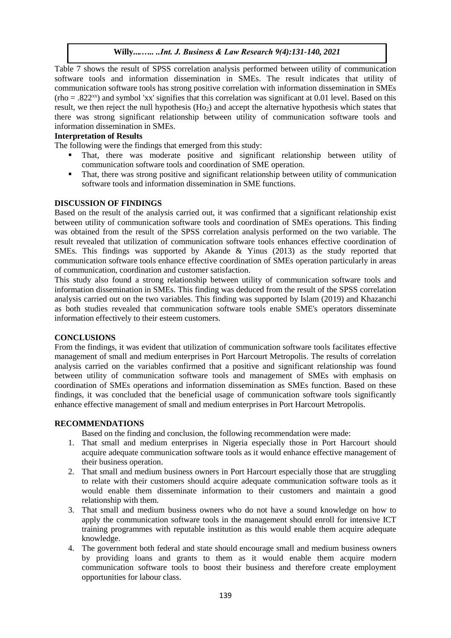Table 7 shows the result of SPSS correlation analysis performed between utility of communication software tools and information dissemination in SMEs. The result indicates that utility of communication software tools has strong positive correlation with information dissemination in SMEs  $(rho = .822<sup>xx</sup>)$  and symbol 'xx' signifies that this correlation was significant at 0.01 level. Based on this result, we then reject the null hypothesis (Ho<sub>2</sub>) and accept the alternative hypothesis which states that there was strong significant relationship between utility of communication software tools and information dissemination in SMEs.

# **Interpretation of Results**

The following were the findings that emerged from this study:

- That, there was moderate positive and significant relationship between utility of communication software tools and coordination of SME operation.
- That, there was strong positive and significant relationship between utility of communication software tools and information dissemination in SME functions.

# **DISCUSSION OF FINDINGS**

Based on the result of the analysis carried out, it was confirmed that a significant relationship exist between utility of communication software tools and coordination of SMEs operations. This finding was obtained from the result of the SPSS correlation analysis performed on the two variable. The result revealed that utilization of communication software tools enhances effective coordination of SMEs. This findings was supported by Akande & Yinus (2013) as the study reported that communication software tools enhance effective coordination of SMEs operation particularly in areas of communication, coordination and customer satisfaction.

This study also found a strong relationship between utility of communication software tools and information dissemination in SMEs. This finding was deduced from the result of the SPSS correlation analysis carried out on the two variables. This finding was supported by Islam (2019) and Khazanchi as both studies revealed that communication software tools enable SME's operators disseminate information effectively to their esteem customers.

## **CONCLUSIONS**

From the findings, it was evident that utilization of communication software tools facilitates effective management of small and medium enterprises in Port Harcourt Metropolis. The results of correlation analysis carried on the variables confirmed that a positive and significant relationship was found between utility of communication software tools and management of SMEs with emphasis on coordination of SMEs operations and information dissemination as SMEs function. Based on these findings, it was concluded that the beneficial usage of communication software tools significantly enhance effective management of small and medium enterprises in Port Harcourt Metropolis.

#### **RECOMMENDATIONS**

Based on the finding and conclusion, the following recommendation were made:

- 1. That small and medium enterprises in Nigeria especially those in Port Harcourt should acquire adequate communication software tools as it would enhance effective management of their business operation.
- 2. That small and medium business owners in Port Harcourt especially those that are struggling to relate with their customers should acquire adequate communication software tools as it would enable them disseminate information to their customers and maintain a good relationship with them.
- 3. That small and medium business owners who do not have a sound knowledge on how to apply the communication software tools in the management should enroll for intensive ICT training programmes with reputable institution as this would enable them acquire adequate knowledge.
- 4. The government both federal and state should encourage small and medium business owners by providing loans and grants to them as it would enable them acquire modern communication software tools to boost their business and therefore create employment opportunities for labour class.